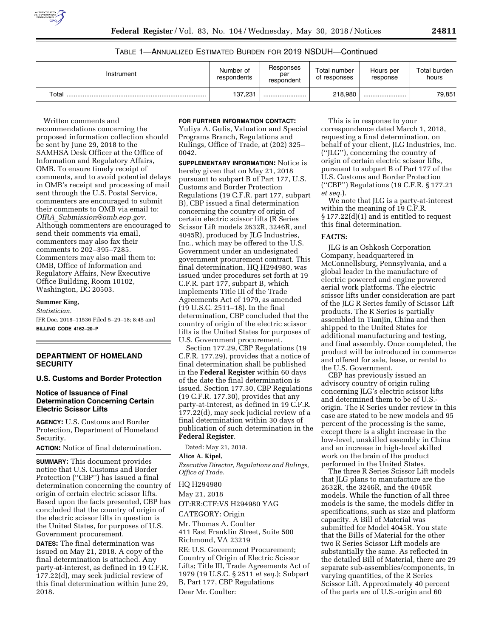

# TABLE 1—ANNUALIZED ESTIMATED BURDEN FOR 2019 NSDUH—Continued

| Instrument             | Number of<br>respondents | Responses<br>per<br>respondent | Total number<br>of responses | Hours per<br>response | Total burden<br>hours |
|------------------------|--------------------------|--------------------------------|------------------------------|-----------------------|-----------------------|
| $\tau$ <sub>otal</sub> | 137,231                  |                                | 218,980                      |                       | 79,851                |

Written comments and recommendations concerning the proposed information collection should be sent by June 29, 2018 to the SAMHSA Desk Officer at the Office of Information and Regulatory Affairs, OMB. To ensure timely receipt of comments, and to avoid potential delays in OMB's receipt and processing of mail sent through the U.S. Postal Service, commenters are encouraged to submit their comments to OMB via email to: *OIRA*\_*[Submission@omb.eop.gov.](mailto:OIRA_Submission@omb.eop.gov)*  Although commenters are encouraged to send their comments via email, commenters may also fax their comments to 202–395–7285. Commenters may also mail them to: OMB, Office of Information and Regulatory Affairs, New Executive Office Building, Room 10102, Washington, DC 20503.

# **Summer King,**

*Statistician.*  [FR Doc. 2018–11536 Filed 5–29–18; 8:45 am] **BILLING CODE 4162–20–P** 

### **DEPARTMENT OF HOMELAND SECURITY**

### **U.S. Customs and Border Protection**

### **Notice of Issuance of Final Determination Concerning Certain Electric Scissor Lifts**

**AGENCY:** U.S. Customs and Border Protection, Department of Homeland Security.

**ACTION:** Notice of final determination.

**SUMMARY:** This document provides notice that U.S. Customs and Border Protection (''CBP'') has issued a final determination concerning the country of origin of certain electric scissor lifts. Based upon the facts presented, CBP has concluded that the country of origin of the electric scissor lifts in question is the United States, for purposes of U.S. Government procurement.

**DATES:** The final determination was issued on May 21, 2018. A copy of the final determination is attached. Any party-at-interest, as defined in 19 C.F.R. 177.22(d), may seek judicial review of this final determination within June 29, 2018.

#### **FOR FURTHER INFORMATION CONTACT:**

Yuliya A. Gulis, Valuation and Special Programs Branch, Regulations and Rulings, Office of Trade, at (202) 325– 0042.

**SUPPLEMENTARY INFORMATION:** Notice is hereby given that on May 21, 2018 pursuant to subpart B of Part 177, U.S. Customs and Border Protection Regulations (19 C.F.R. part 177, subpart B), CBP issued a final determination concerning the country of origin of certain electric scissor lifts (R Series Scissor Lift models 2632R, 3246R, and 4045R), produced by JLG Industries, Inc., which may be offered to the U.S. Government under an undesignated government procurement contract. This final determination, HQ H294980, was issued under procedures set forth at 19 C.F.R. part 177, subpart B, which implements Title III of the Trade Agreements Act of 1979, as amended (19 U.S.C. 2511–18). In the final determination, CBP concluded that the country of origin of the electric scissor lifts is the United States for purposes of U.S. Government procurement.

Section 177.29, CBP Regulations (19 C.F.R. 177.29), provides that a notice of final determination shall be published in the **Federal Register** within 60 days of the date the final determination is issued. Section 177.30, CBP Regulations (19 C.F.R. 177.30), provides that any party-at-interest, as defined in 19 C.F.R. 177.22(d), may seek judicial review of a final determination within 30 days of publication of such determination in the **Federal Register**.

Dated: May 21, 2018.

## **Alice A. Kipel,**

*Executive Director, Regulations and Rulings, Office of Trade.* 

HQ H294980

May 21, 2018

OT:RR:CTF:VS H294980 YAG

CATEGORY: Origin

Mr. Thomas A. Coulter 411 East Franklin Street, Suite 500 Richmond, VA 23219

RE: U.S. Government Procurement; Country of Origin of Electric Scissor Lifts; Title III, Trade Agreements Act of 1979 (19 U.S.C. § 2511 *et seq.*); Subpart B, Part 177, CBP Regulations Dear Mr. Coulter:

This is in response to your correspondence dated March 1, 2018, requesting a final determination, on behalf of your client, JLG Industries, Inc. (''JLG''), concerning the country of origin of certain electric scissor lifts, pursuant to subpart B of Part 177 of the U.S. Customs and Border Protection (''CBP'') Regulations (19 C.F.R. § 177.21 *et seq.*).

We note that JLG is a party-at-interest within the meaning of 19 C.F.R. § 177.22(d)(1) and is entitled to request this final determination.

#### **FACTS:**

JLG is an Oshkosh Corporation Company, headquartered in McConnellsburg, Pennsylvania, and a global leader in the manufacture of electric powered and engine powered aerial work platforms. The electric scissor lifts under consideration are part of the JLG R Series family of Scissor Lift products. The R Series is partially assembled in Tianjin, China and then shipped to the United States for additional manufacturing and testing, and final assembly. Once completed, the product will be introduced in commerce and offered for sale, lease, or rental to the U.S. Government.

CBP has previously issued an advisory country of origin ruling concerning JLG's electric scissor lifts and determined them to be of U.S. origin. The R Series under review in this case are stated to be new models and 95 percent of the processing is the same, except there is a slight increase in the low-level, unskilled assembly in China and an increase in high-level skilled work on the brain of the product performed in the United States.

The three R Series Scissor Lift models that JLG plans to manufacture are the 2632R, the 3246R, and the 4045R models. While the function of all three models is the same, the models differ in specifications, such as size and platform capacity. A Bill of Material was submitted for Model 4045R. You state that the Bills of Material for the other two R Series Scissor Lift models are substantially the same. As reflected in the detailed Bill of Material, there are 29 separate sub-assemblies/components, in varying quantities, of the R Series Scissor Lift. Approximately 40 percent of the parts are of U.S.-origin and 60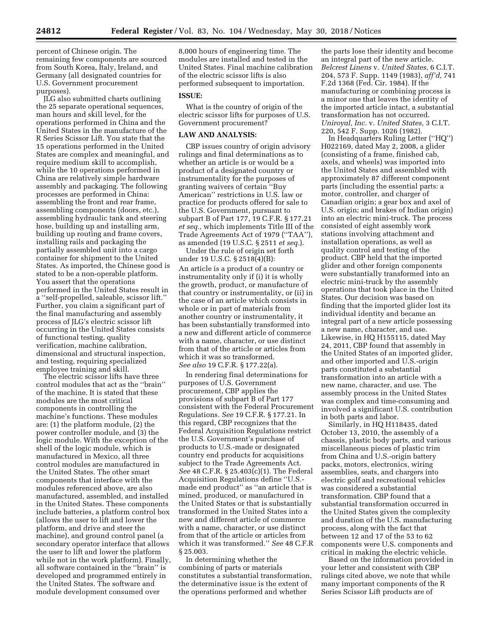percent of Chinese origin. The remaining few components are sourced from South Korea, Italy, Ireland, and Germany (all designated countries for U.S. Government procurement purposes).

JLG also submitted charts outlining the 25 separate operational sequences, man hours and skill level, for the operations performed in China and the United States in the manufacture of the R Series Scissor Lift. You state that the 15 operations performed in the United States are complex and meaningful, and require medium skill to accomplish, while the 10 operations performed in China are relatively simple hardware assembly and packaging. The following processes are performed in China: assembling the front and rear frame, assembling components (doors, etc.), assembling hydraulic tank and steering hose, building up and installing arm, building up routing and frame covers, installing rails and packaging the partially assembled unit into a cargo container for shipment to the United States. As imported, the Chinese good is stated to be a non-operable platform. You assert that the operations performed in the United States result in a ''self-propelled, saleable, scissor lift.'' Further, you claim a significant part of the final manufacturing and assembly process of JLG's electric scissor lift occurring in the United States consists of functional testing, quality verification, machine calibration, dimensional and structural inspection, and testing, requiring specialized employee training and skill.

The electric scissor lifts have three control modules that act as the ''brain'' of the machine. It is stated that these modules are the most critical components in controlling the machine's functions. These modules are: (1) the platform module, (2) the power controller module, and (3) the logic module. With the exception of the shell of the logic module, which is manufactured in Mexico, all three control modules are manufactured in the United States. The other smart components that interface with the modules referenced above, are also manufactured, assembled, and installed in the United States. These components include batteries, a platform control box (allows the user to lift and lower the platform, and drive and steer the machine), and ground control panel (a secondary operator interface that allows the user to lift and lower the platform while not in the work platform). Finally, all software contained in the ''brain'' is developed and programmed entirely in the United States. The software and module development consumed over

8,000 hours of engineering time. The modules are installed and tested in the United States. Final machine calibration of the electric scissor lifts is also performed subsequent to importation.

### **ISSUE:**

What is the country of origin of the electric scissor lifts for purposes of U.S. Government procurement?

#### **LAW AND ANALYSIS:**

CBP issues country of origin advisory rulings and final determinations as to whether an article is or would be a product of a designated country or instrumentality for the purposes of granting waivers of certain ''Buy American'' restrictions in U.S. law or practice for products offered for sale to the U.S. Government, pursuant to subpart B of Part 177, 19 C.F.R. § 177.21 *et seq.,* which implements Title III of the Trade Agreements Act of 1979 (''TAA''), as amended (19 U.S.C. § 2511 *et seq.*).

Under the rule of origin set forth under 19 U.S.C. § 2518(4)(B): An article is a product of a country or instrumentality only if (i) it is wholly the growth, product, or manufacture of that country or instrumentality, or (ii) in the case of an article which consists in whole or in part of materials from another country or instrumentality, it has been substantially transformed into a new and different article of commerce with a name, character, or use distinct from that of the article or articles from which it was so transformed. *See also* 19 C.F.R. § 177.22(a).

In rendering final determinations for purposes of U.S. Government procurement, CBP applies the provisions of subpart B of Part 177 consistent with the Federal Procurement Regulations. *See* 19 C.F.R. § 177.21. In this regard, CBP recognizes that the Federal Acquisition Regulations restrict the U.S. Government's purchase of products to U.S.-made or designated country end products for acquisitions subject to the Trade Agreements Act. *See* 48 C.F.R. § 25.403(c)(1). The Federal Acquisition Regulations define ''U.S. made end product'' as ''an article that is mined, produced, or manufactured in the United States or that is substantially transformed in the United States into a new and different article of commerce with a name, character, or use distinct from that of the article or articles from which it was transformed.'' *See* 48 C.F.R § 25.003.

In determining whether the combining of parts or materials constitutes a substantial transformation, the determinative issue is the extent of the operations performed and whether

the parts lose their identity and become an integral part of the new article. *Belcrest Linens* v. *United States,* 6 C.I.T. 204, 573 F. Supp. 1149 (1983), *aff'd,* 741 F.2d 1368 (Fed. Cir. 1984). If the manufacturing or combining process is a minor one that leaves the identity of the imported article intact, a substantial transformation has not occurred. *Uniroyal, Inc.* v. *United States,* 3 C.I.T. 220, 542 F. Supp. 1026 (1982).

In Headquarters Ruling Letter (''HQ'') H022169, dated May 2, 2008, a glider (consisting of a frame, finished cab, axels, and wheels) was imported into the United States and assembled with approximately 87 different component parts (including the essential parts: a motor, controller, and charger of Canadian origin; a gear box and axel of U.S. origin; and brakes of Indian origin) into an electric mini-truck. The process consisted of eight assembly work stations involving attachment and installation operations, as well as quality control and testing of the product. CBP held that the imported glider and other foreign components were substantially transformed into an electric mini-truck by the assembly operations that took place in the United States. Our decision was based on finding that the imported glider lost its individual identity and became an integral part of a new article possessing a new name, character, and use. Likewise, in HQ H155115, dated May 24, 2011, CBP found that assembly in the United States of an imported glider, and other imported and U.S.-origin parts constituted a substantial transformation into an article with a new name, character, and use. The assembly process in the United States was complex and time-consuming and involved a significant U.S. contribution in both parts and labor.

Similarly, in HQ H118435, dated October 13, 2010, the assembly of a chassis, plastic body parts, and various miscellaneous pieces of plastic trim from China and U.S.-origin battery packs, motors, electronics, wiring assemblies, seats, and chargers into electric golf and recreational vehicles was considered a substantial transformation. CBP found that a substantial transformation occurred in the United States given the complexity and duration of the U.S. manufacturing process, along with the fact that between 12 and 17 of the 53 to 62 components were U.S. components and critical in making the electric vehicle.

Based on the information provided in your letter and consistent with CBP rulings cited above, we note that while many important components of the R Series Scissor Lift products are of